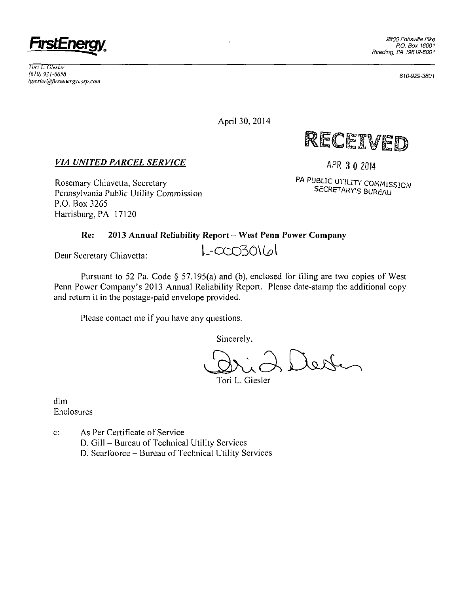

*Tori!.. Gieslcr (610) 921-6658 tgieslerfalfirsreiwrgycorp.coiii* 

610-929-3601

April 30, 2014

RECEIVED

*VIA UNITED PARCEL SERVICE* 

Rosemary Chiavetla, Secretary Pennsylvania Public Utility Commission P.O. Box 3265 Harrisburg, PA 17120

**APR 3 0 2014** 

PA PUBLIC UTILITY COMMISSION **SECRETARY'S BUREAU** 

**Re: 2013 Annual Reliability Report - West Penn Power Company** 

Dear Secretary Chiavetta: L-CCO30V6

Pursuant to 52 Pa. Code § 57.195(a) and (b), enclosed for filing are two copies of West Penn Power Company's 2013 Annual Reliability Report. Please date-stamp the additional copy and return it in the postage-paid envelope provided.

Please contact me if you have any questions.

Sincerely,

Dette

Tori L. Giesler

dim Enclosures

- c: As Per Certificate of Service
	- D. Gill Bureau of Technical Utility Services
	- D. Searfoorce Bureau of Technical Utility Services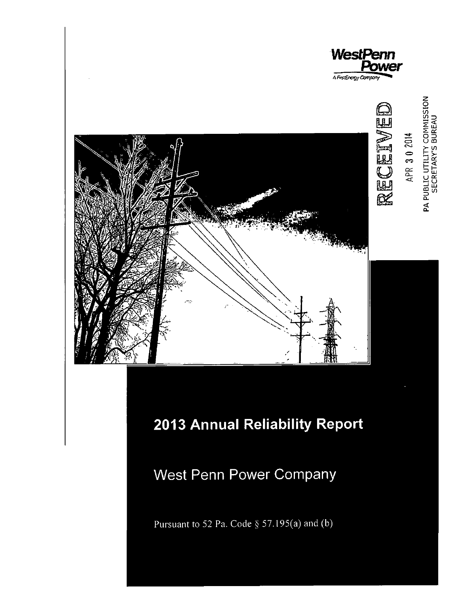

PA PUBLIC UTILITY COMMISSION<br>SECRETARY'S BUREAU

APR 30 2014



## **2013 Annual Reliability Report**

West Penn Power Company

Pursuant to 52 Pa. Code § 57.195(a) and (b)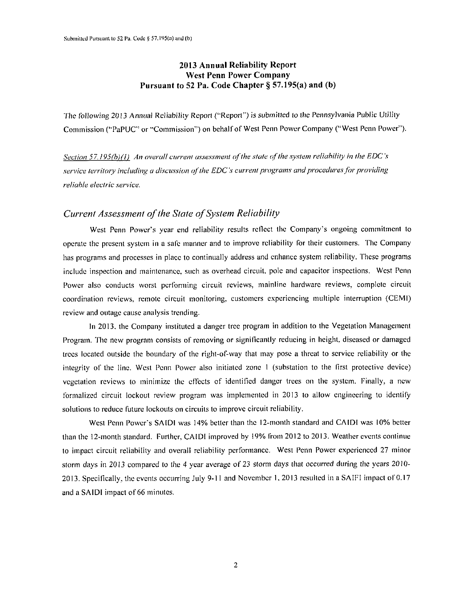#### **2013 Annual Reliability Report West Penn Power Company Pursuant to 52 Pa. Code Chapter § 57.195(a) and (b)**

The following 2013 Annual Reliability Report ('"Report") is submitted to the Pennsylvania Public Utility Commission ("PaPUC" or "Commission") on behalf of West Penn Power Company ("West Penn Power").

*Section 57,195(b)(1) An overall current assessment of the state of the system reliability in the EDC's service territory including a discussion ofthe EDC's currenl programs and procedures for providing reliable electric service.* 

#### *Current Assessment of the State of System Reliability*

West Penn Power's year end reliability results reflect the Company's ongoing commitment to operate the present system in a sale manner and to improve reliability for their customers. The Company has programs and processes in place to continually address and enhance system reliability. These programs include inspection and maintenance, such as overhead circuit, pole and capacitor inspections. West Penn Power also conducts worst performing circuit reviews, mainline hardware reviews, complete circuit coordination reviews, remote circuit monitoring, customers experiencing multiple interruption (CEMI) review and outage cause analysis trending.

In 2013. the Company instituted a danger tree program in addition to the Vegetation Management Program. The new program consists of removing or significantly reducing in height, diseased or damaged trees located outside the boundary of the right-of-way that may pose a threat to service reliability or the integrity of the line. West Penn Power also initialed zone 1 (substation to the first protective device) vegetation reviews to minimize the effects of identified danger trees on the system. Finally, a new formalized circuit lockout review program was implemented in 2013 to allow engineering to identify solutions to reduce future lockouts on circuits to improve circuit reliability.

West Penn Power's SAIDI was 14% better than the 12-month standard and CAIDI was 10% better than the 12-month standard. Further. CAIDI improved by 19% from 2012 to 2013. Weather events continue to impact circuit reliability and overall reliability performance. West Penn Power experienced 27 minor storm days in 2013 compared to the 4 year average of 23 storm days that occurred during the years 2010- 2013. Specifically, the events occurring July 9-11 and November I. 2013 resulted in a SAIFI impact of 0.17 and a SAID! impact of 66 minutes.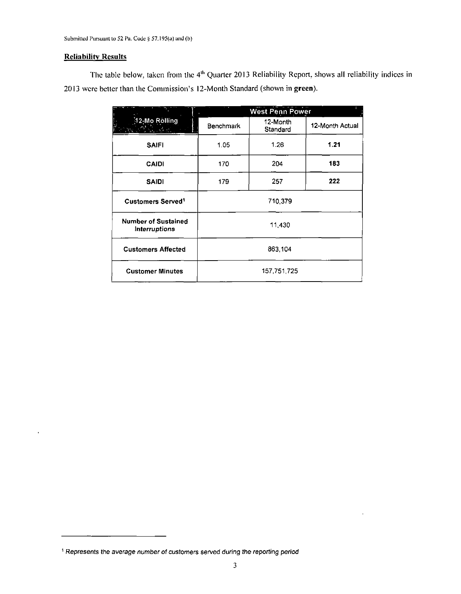#### **Reliability Results**

**The table below, taken from the 4"' Quarter 2013 Reliability Report, shows all reliability indices in 2013 were better than the Commission's 12-Month Standard (shown in green).** 

|                                                    |             | <b>West Penn Power</b> | z               |
|----------------------------------------------------|-------------|------------------------|-----------------|
| 12-Mo Rolling<br>a Maria de Ca<br>$\sim 2^{\rm o}$ | Benchmark   | 12-Month<br>Standard   | 12-Month Actual |
| <b>SAIFI</b>                                       | 1.05        | 1.26                   | 1.21            |
| CAIDI                                              | 170         | 204                    | 183             |
| <b>SAIDI</b>                                       | 179         | 257                    | 222             |
| <b>Customers Served</b> <sup>1</sup>               |             | 710,379                |                 |
| <b>Number of Sustained</b><br>Interruptions        | 11,430      |                        |                 |
| <b>Customers Affected</b>                          | 863.104     |                        |                 |
| <b>Customer Minutes</b>                            | 157,751,725 |                        |                 |

<sup>&</sup>lt;sup>1</sup> Represents the average number of customers served during the reporting period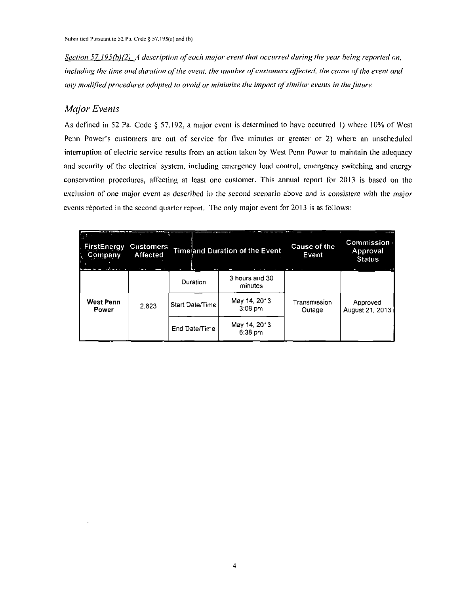*Section 57.195(b)(2) A description of each major event lhat occurred during Ihe year being reported on, including the time and duration of the event, the number of customers affected, the cause of the event and any modified procedures adopted to avoid or minimize ihe impact of similar events in the future.* 

## *Major Events*

As defined in 52 Pa. Code § 57.192. a major event is deiermined lo have occurred 1) where 10% of West Penn Power's customers arc out of service for five minutes or greater or 2) where an unscheduled interruption of electric service results from an action taken by West Penn Power to maintain the adequacy and security of the electrical system, including emergency load control, emergency switching and energy conservation procedures, affecting at least one customer. This annual report for 2013 is based on the exclusion of one major event as described in Ihe second scenario above and is consistent with the major events reported in the second quarter report. The only major event for 2013 is as follows:

| FirstEnergy<br>Company    | <b>Customers</b><br><b>Affected</b> |                 | <b>Time and Duration of the Event</b> | Cause of the<br>Event  | Commission ·<br>Approval<br><b>Status</b> |
|---------------------------|-------------------------------------|-----------------|---------------------------------------|------------------------|-------------------------------------------|
|                           |                                     | Duration        | 3 hours and 30<br>minutes             |                        |                                           |
| <b>West Penn</b><br>Power | 2823                                | Start Date/Time | May 14, 2013<br>$3:08$ pm             | Transmission<br>Outage | Approved<br>August 21, 2013               |
|                           |                                     | End Date/Time   | May 14, 2013<br>$6:38$ pm             |                        |                                           |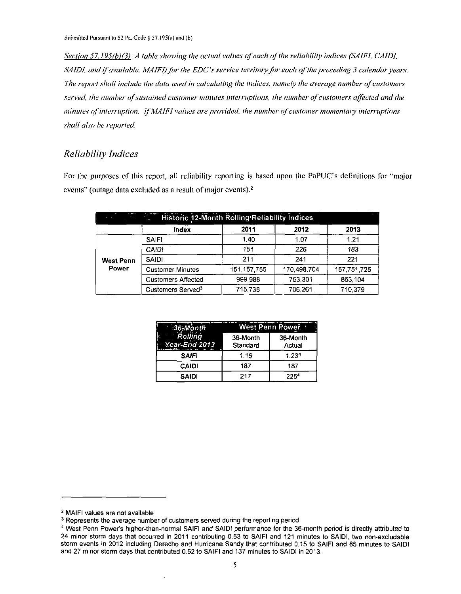*Section 57.195(b)(3) A table showing the actual values of each of the reliability indices (SAIFI, CAIDI, SAIDI*, and if available, *MAIFI) for the EDC*'s service territory for each of the preceding 3 calendar years. *The report shall include the data used in calculating the indices, namely the average number of customers served, the number of sustained customer minutes interruptions, the number of customers affected and the minutes of interruption. IfMAIFI values are provided, the numher of customer momentary interruptions shall also be reported.* 

#### *Reliability Indices*

For the purposes of this report, all reliability reporting is based upon the PaPUC's definitions for "major events" (outage data excluded as a result of major events).<sup>2</sup>

| <b>7. Thistoric 12-Month Rolling Reliability Indices</b><br>$\sim$ |                               |             |             |             |
|--------------------------------------------------------------------|-------------------------------|-------------|-------------|-------------|
|                                                                    | <b>Index</b>                  | 2011        | 2012        | 2013        |
|                                                                    | <b>SAIFI</b>                  | 1.40        | 1.07        | 1.21        |
|                                                                    | CAIDI                         | 151         | 226         | 183         |
| <b>West Penn</b>                                                   | <b>SAIDI</b>                  | 211         | 241         | 221         |
| Power                                                              | <b>Customer Minutes</b>       | 151 157 755 | 170.498.704 | 157,751,725 |
|                                                                    | <b>Customers Affected</b>     | 999 988     | 753.301     | 863,104     |
|                                                                    | Customers Served <sup>3</sup> | 715.738     | 706.261     | 710,379     |

| 36-Month                 | West Penn Power      |                    |
|--------------------------|----------------------|--------------------|
| Rolling<br>Year-End 2013 | 36-Month<br>Standard | 36-Month<br>Actual |
| <b>SAIFI</b>             | 1.16                 | 1.23 <sup>4</sup>  |
| CAIDI                    | 187                  | 187                |
| <b>SAIDI</b>             | 217                  | 2254               |

<sup>2</sup> MAIFI values are not available

<sup>&</sup>lt;sup>3</sup> Represents the average number of customers served during the reporting period

West Penn Power's higher-than-normal SAIFI and SAIDI performance for the 36-month period is directly attributed to 24 minor storm days that occurred in 2011 contributing 0.53 to SAIFI and 121 minutes to SAIDI, two non-excludable storm events in 2012 including Derecho and Hurricane Sandy that contributed 0.15 to SAIFI and 85 minutes to SAIDI and 27 minor storm days that contributed 0,52 to SAIFI and 137 minutes to SAIDI in 2013.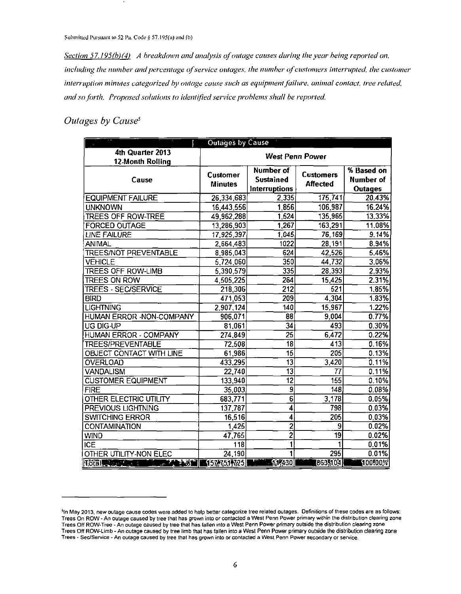Subinitied Pursuant to 52 Pa. Code §  $57.195(a)$  and (b)

*Section 57.195(b) (4) A breakdown and analysis of outage causes during the year being reported on. including the number and percentage of service outages, the numher of cuslomers interrupted, the customer interruption minutes categorized by outage cause such as equipment failure, animal contact, tree related, and so forth. Proposed solutions to identified service problems shall be reported.* 

### *Outages by Cause<sup>5</sup>*

|                                                    | <b>Outages by Cause</b> |                         |                  |                |
|----------------------------------------------------|-------------------------|-------------------------|------------------|----------------|
| 4th Quarter 2013                                   | <b>West Penn Power</b>  |                         |                  |                |
| 12-Month Rolling                                   |                         |                         |                  |                |
|                                                    | <b>Customer</b>         | Number of               | <b>Customers</b> | % Based on     |
| Cause                                              | <b>Minutes</b>          | <b>Sustained</b>        | <b>Affected</b>  | Number of      |
|                                                    |                         | Interruptions           |                  | <b>Outages</b> |
| <b>EQUIPMENT FAILURE</b>                           | 26,334,683              | 2,335                   | 175,741          | 20.43%         |
| <b>UNKNOWN</b>                                     | 16,443,556              | 1,856                   | 106,987          | 16.24%         |
| <b>TREES OFF ROW-TREE</b>                          | 49.962,288              | 1524                    | 135,965          | 13.33%         |
| <b>FORCED OUTAGE</b>                               | 13,286,903              | 1,267                   | 163,291          | 11.08%         |
| LINE FAILURE                                       | 17,925,397              | 1.045                   | 76,169           | 9.14%          |
| <b>ANIMAL</b>                                      | 2,664,483               | 1022                    | 28,191           | 8.94%          |
| <b>TREES/NOT PREVENTABLE</b>                       | 8,985,043               | 624                     | 42,526           | 5.46%          |
| <b>VEHICLE</b>                                     | 5,724,060               | 350                     | 44,732           | 3.06%          |
| TREES OFF ROW-LIMB                                 | 5,390,579               | 335                     | 28,393           | 2.93%          |
| TREES ON ROW                                       | 4,505,225               | 264                     | 15,425           | 2.31%          |
| TREES - SEC/SERVICE                                | 218,306                 | $\overline{212}$        | $\overline{521}$ | 1.85%          |
| <b>BIRD</b>                                        | 471,053                 | 209                     | 4,304            | 1.83%          |
| <b>LIGHTNING</b>                                   | 2,907,124               | 140                     | 15,967           | 1.22%          |
| HUMAN ERROR - NON-COMPANY                          | 906,071                 | $\overline{\bf 88}$     | 9,004            | 0.77%          |
| UG DIG-UP                                          | 81,061                  | 34                      | 493              | 0.30%          |
| HUMAN ERROR - COMPANY                              | 274,849                 | $\overline{25}$         | 6,472            | 0.22%          |
| <b>TREES/PREVENTABLE</b>                           | 72,508                  | $\overline{18}$         | 413              | 0.16%          |
| OBJECT CONTACT WITH LINE                           | 61,986                  | 15                      | 205              | 0.13%          |
| <b>OVERLOAD</b>                                    | 433,295                 | $\overline{13}$         | 3,420            | 0.11%          |
| <b>VANDALISM</b>                                   | 22,740                  | $\overline{13}$         | $\overline{77}$  | 0.11%          |
| <b>CUSTOMER EQUIPMENT</b>                          | 133,940                 | $\overline{12}$         | 155              | 0.10%          |
| <b>FIRE</b>                                        | 35,003                  | $\overline{9}$          | $\overline{148}$ | 0.08%          |
| OTHER ELECTRIC UTILITY                             | 683,771                 | $\overline{6}$          | 3,178            | 0.05%          |
| PREVIOUS LIGHTNING                                 | 137,787                 | 4                       | 798              | 0.03%          |
| <b>SWITCHING ERROR</b>                             | 16,516                  | 4                       | $\overline{205}$ | 0.03%          |
| <b>CONTAMINATION</b>                               | 1,425                   | $\overline{2}$          | $\overline{9}$   | 0.02%          |
| <b>WIND</b>                                        | 47,765                  | $\overline{2}$          | 19               | 0.02%          |
| <b>ICE</b>                                         | $\overline{118}$        | $\overline{\mathbf{1}}$ |                  | 0.01%          |
| OTHER UTILITY-NON ELEC                             | 24,190                  | 1                       | 295              | 0.01%          |
| 10181 2019 2021 2022 2023 2024 2025 2021 2022 2021 |                         | 117430                  | [863504]         | 100100%        |

<sup>^</sup>In May 2013. new outage cause codes were added to help better categorize tree related outages. Definitions of these codes are as follows: Trees On ROW - An outage caused by tree thai has grown into or contacted a West Penn Power primary within the distribution clearing zone Trees Off ROW-Tree - An outage caused by tree that has fallen into a West Penn Power primary outside the distribution clearing zone Trees Off ROW-Limb - An outage caused by tree limb that has fallen into a West Penn Power primary outside the distribution clearing zone Trees - Sec/Service - An outage caused by tree that has grown into or contacted a West Penn Power secondary or service.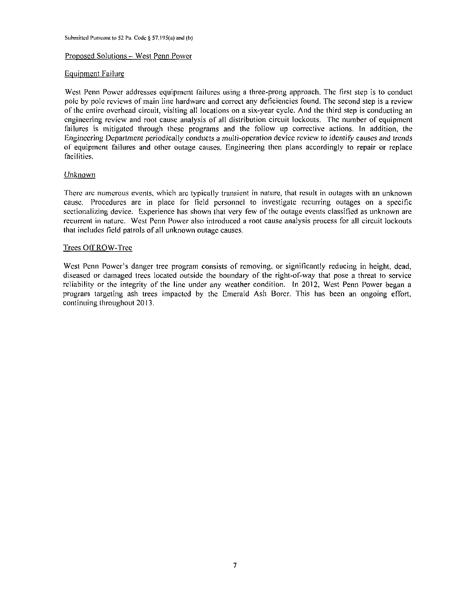#### Proposed Solutions - West Penn Power

#### Equipment Failure

West Penn Power addresses equipment failures using a three-prong approach. The first step is to conduct pole by pole reviews of main line hardware and correct any deficiencies found. The second step is a review of the entire overhead circuit, visiting all locations on a six-year cycle. And the third step is conducting an engineering review and root cause analysis of all distribution circuit lockouts. The number of equipment failures is mitigated through these programs and the follow up corrective actions. In addition, the Engineering Department periodically conducts a mulli-opcration device review to identify causes and trends of equipment failures and other outage causes. Engineering then plans accordingly to repair or replace facilities.

#### Unknown

There arc numerous events, which arc typically transient in nature, that result in outages with an unknown cause. Procedures are in place for Held personnel to investigate recurring outages on a specific sectionalizing device. Experience has shown that very few of the outage events classified as unknown are recurrent in nature. West Penn Power also introduced a root cause analysis process for all circuit lockouts that includes field patrols of all unknown outage causes.

#### Trees Off ROW-Tree

West Penn Power's danger tree program consists of removing, or significantly reducing in height, dead, diseased or damaged trees located outside the boundary of the right-of-way that pose a threat to service reliability or the integrity of the line under any weather condition. In 2012, West Penn Power began a program targeting ash trees impacted by the Emerald Ash Borer. This has been an ongoing effort, continuing throughout 2013.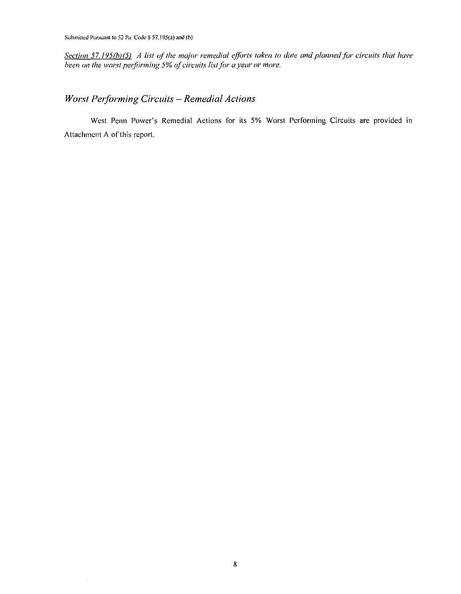Submitted Pursuant to 52 Pa. Code § 57.195(a) and (b)

*Section 57.195fb) (5) A list of the major remedial efforts taken to date and planned for circuits that have been on the worst performing 5% of circuits list for a year or more.* 

## *Worst Performing Circuits - Remedial Actions*

West Penn Power's Remedial Actions for its 5% Worst Performing Circuits are provided in Attachmenl A of this report.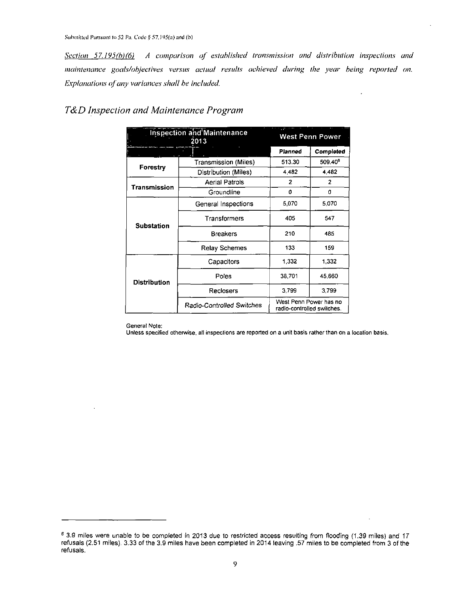Section 57.195(b)(6) A comparison of established transmission and distribution inspections and maintenance goals/objectives versus actual results achieved during (he year being reported on. Explanations of any variances shall be included.

 $\ddot{\phantom{a}}$ 

|                     | <b>Inspection and Maintenance</b><br>2013 | <b>West Penn Power</b>     |                        |  |
|---------------------|-------------------------------------------|----------------------------|------------------------|--|
|                     |                                           | Planned                    | Completed              |  |
|                     | <b>Transmission (Miles)</b>               | 513.30                     | 509.40 <sup>6</sup>    |  |
| Forestry            | Distribution (Miles)                      | 4,482                      | 4.482                  |  |
| Transmission        | <b>Aerial Patrols</b>                     | $\overline{2}$             | 2                      |  |
|                     | Groundline                                | 0                          | 0                      |  |
|                     | General Inspections                       | 5.070                      | 5,070                  |  |
| <b>Substation</b>   | Transformers                              | 405                        | 547                    |  |
|                     | <b>Breakers</b>                           | 210                        | 485                    |  |
|                     | <b>Relay Schemes</b>                      | 133                        | 159                    |  |
|                     | Capacitors                                | 1,332                      | 1,332                  |  |
| <b>Distribution</b> | Poles                                     | 38,701                     | 45,660                 |  |
|                     | Reclosers                                 | 3,799                      | 3,799                  |  |
|                     | Radio-Controlled Switches                 | radio-controlled switches. | West Penn Power has no |  |

#### T&D Inspection and Maintenance Program

General Note:

 $\overline{a}$ 

Unless specified otherwise, all inspections are reported on a unit basis rather than on a location basis.

<sup>&</sup>lt;sup>6</sup> 3.9 miles were unable to be completed in 2013 due to restricted access resulting from flooding (1.39 miles) and 17 refusals (2.51 miles). 3.33 ofthe 3.9 miles have been completed in 2014 leaving .57 miles to be completed from 3 ofthe refusals.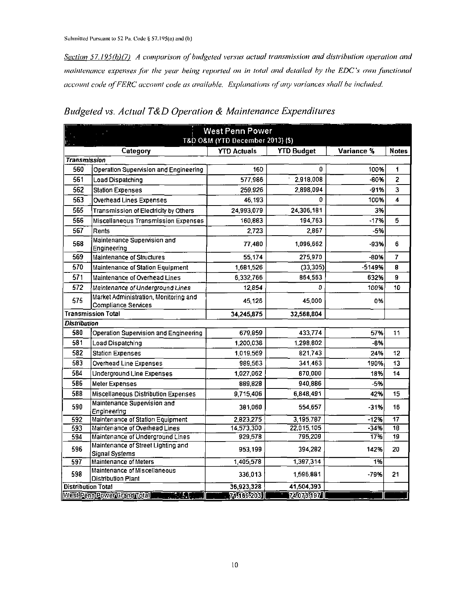Section 57.195(b)(7) A comparison of budgeted versus actual transmission and distribution operation and maintenance expenses for the year being reported on in total and detailed by the EDC's own functional account code of FERC account code as available. Explanations of any variances shall be included.

| <b>West Penn Power</b><br>T&D O&M (YTD December 2013) (\$)<br><b>YTD Actuals</b><br><b>YTD Budget</b><br>Variance %<br>Category<br><b>Notes</b><br><b>Transmission</b><br>Operation Supervision and Engineering<br>160<br>$\mathbf{0}$<br>100%<br>560<br>$\mathbf{1}$<br>561<br>2,918,008<br>$\overline{2}$<br>577,986<br>$-80%$<br>Load Dispatching<br>562<br>Station Expenses<br>259,926<br>2,898,094<br>-91%<br>3<br>563<br>46,193<br>100%<br>$\mathbf{0}$<br>Overhead Lines Expenses<br>$\blacktriangle$<br>24,993,079<br>24,306,181<br>3%<br>565<br>Transmission of Electricity by Others<br>566<br>194,763<br>160,883<br>$-17%$<br>5<br>Miscellaneous Transmission Expenses<br>567<br>Rents<br>2,723<br>2,867<br>$-5%$<br>Maintenance Supervision and<br>568<br>77,480<br>1,096,662<br>$-93%$<br>6<br>Engineering<br>569<br>Maintenance of Structures<br>55,174<br>275,970<br>$-80%$<br>7<br>570<br>(33, 305)<br>$-5149%$<br>Maintenance of Station Equipment<br>1,681,526<br>8<br>571<br>6,332,766<br>864,563<br>632%<br>Maintenance of Overhead Lines<br>9<br>572<br>12,854<br>100%<br>Maintenance of Underground Lines<br>10 <sub>1</sub><br>0 |
|---------------------------------------------------------------------------------------------------------------------------------------------------------------------------------------------------------------------------------------------------------------------------------------------------------------------------------------------------------------------------------------------------------------------------------------------------------------------------------------------------------------------------------------------------------------------------------------------------------------------------------------------------------------------------------------------------------------------------------------------------------------------------------------------------------------------------------------------------------------------------------------------------------------------------------------------------------------------------------------------------------------------------------------------------------------------------------------------------------------------------------------------------------|
|                                                                                                                                                                                                                                                                                                                                                                                                                                                                                                                                                                                                                                                                                                                                                                                                                                                                                                                                                                                                                                                                                                                                                         |
|                                                                                                                                                                                                                                                                                                                                                                                                                                                                                                                                                                                                                                                                                                                                                                                                                                                                                                                                                                                                                                                                                                                                                         |
|                                                                                                                                                                                                                                                                                                                                                                                                                                                                                                                                                                                                                                                                                                                                                                                                                                                                                                                                                                                                                                                                                                                                                         |
|                                                                                                                                                                                                                                                                                                                                                                                                                                                                                                                                                                                                                                                                                                                                                                                                                                                                                                                                                                                                                                                                                                                                                         |
|                                                                                                                                                                                                                                                                                                                                                                                                                                                                                                                                                                                                                                                                                                                                                                                                                                                                                                                                                                                                                                                                                                                                                         |
|                                                                                                                                                                                                                                                                                                                                                                                                                                                                                                                                                                                                                                                                                                                                                                                                                                                                                                                                                                                                                                                                                                                                                         |
|                                                                                                                                                                                                                                                                                                                                                                                                                                                                                                                                                                                                                                                                                                                                                                                                                                                                                                                                                                                                                                                                                                                                                         |
|                                                                                                                                                                                                                                                                                                                                                                                                                                                                                                                                                                                                                                                                                                                                                                                                                                                                                                                                                                                                                                                                                                                                                         |
|                                                                                                                                                                                                                                                                                                                                                                                                                                                                                                                                                                                                                                                                                                                                                                                                                                                                                                                                                                                                                                                                                                                                                         |
|                                                                                                                                                                                                                                                                                                                                                                                                                                                                                                                                                                                                                                                                                                                                                                                                                                                                                                                                                                                                                                                                                                                                                         |
|                                                                                                                                                                                                                                                                                                                                                                                                                                                                                                                                                                                                                                                                                                                                                                                                                                                                                                                                                                                                                                                                                                                                                         |
|                                                                                                                                                                                                                                                                                                                                                                                                                                                                                                                                                                                                                                                                                                                                                                                                                                                                                                                                                                                                                                                                                                                                                         |
|                                                                                                                                                                                                                                                                                                                                                                                                                                                                                                                                                                                                                                                                                                                                                                                                                                                                                                                                                                                                                                                                                                                                                         |
|                                                                                                                                                                                                                                                                                                                                                                                                                                                                                                                                                                                                                                                                                                                                                                                                                                                                                                                                                                                                                                                                                                                                                         |
|                                                                                                                                                                                                                                                                                                                                                                                                                                                                                                                                                                                                                                                                                                                                                                                                                                                                                                                                                                                                                                                                                                                                                         |
|                                                                                                                                                                                                                                                                                                                                                                                                                                                                                                                                                                                                                                                                                                                                                                                                                                                                                                                                                                                                                                                                                                                                                         |
| Market Administration, Monitoring and<br>575<br>45,126<br>45,000<br>0%<br>Compliance Services                                                                                                                                                                                                                                                                                                                                                                                                                                                                                                                                                                                                                                                                                                                                                                                                                                                                                                                                                                                                                                                           |
| <b>Transmission Total</b><br>34,245,875<br>32,568,804                                                                                                                                                                                                                                                                                                                                                                                                                                                                                                                                                                                                                                                                                                                                                                                                                                                                                                                                                                                                                                                                                                   |
| <b>Distribution</b>                                                                                                                                                                                                                                                                                                                                                                                                                                                                                                                                                                                                                                                                                                                                                                                                                                                                                                                                                                                                                                                                                                                                     |
| 433,774<br>580<br>679,859<br>57%<br>Operation Supervision and Engineering<br>11                                                                                                                                                                                                                                                                                                                                                                                                                                                                                                                                                                                                                                                                                                                                                                                                                                                                                                                                                                                                                                                                         |
| 581<br>1,200,038<br>1,298,802<br>$-8%$<br>Load Dispatching                                                                                                                                                                                                                                                                                                                                                                                                                                                                                                                                                                                                                                                                                                                                                                                                                                                                                                                                                                                                                                                                                              |
| 582<br>Station Expenses<br>1,019,569<br>821,743<br>24%<br>12                                                                                                                                                                                                                                                                                                                                                                                                                                                                                                                                                                                                                                                                                                                                                                                                                                                                                                                                                                                                                                                                                            |
| 583<br>989,563<br>341,463<br>Overhead Line Expenses<br>190%<br>13                                                                                                                                                                                                                                                                                                                                                                                                                                                                                                                                                                                                                                                                                                                                                                                                                                                                                                                                                                                                                                                                                       |
| 584<br>870,000<br>1,027,062<br>18%<br>14<br>Underground Line Expenses                                                                                                                                                                                                                                                                                                                                                                                                                                                                                                                                                                                                                                                                                                                                                                                                                                                                                                                                                                                                                                                                                   |
| 586<br>940,886<br>$-5%$<br>889,828<br>Meter Expenses                                                                                                                                                                                                                                                                                                                                                                                                                                                                                                                                                                                                                                                                                                                                                                                                                                                                                                                                                                                                                                                                                                    |
| 588<br>6,848,491<br>42%<br>Miscellaneous Distribution Expenses<br>9,715,406<br>15 <sub>1</sub>                                                                                                                                                                                                                                                                                                                                                                                                                                                                                                                                                                                                                                                                                                                                                                                                                                                                                                                                                                                                                                                          |
| Maintenance Supervision and<br>590                                                                                                                                                                                                                                                                                                                                                                                                                                                                                                                                                                                                                                                                                                                                                                                                                                                                                                                                                                                                                                                                                                                      |
| 554,657<br>$-31%$<br>381,060<br>16<br>Engineering                                                                                                                                                                                                                                                                                                                                                                                                                                                                                                                                                                                                                                                                                                                                                                                                                                                                                                                                                                                                                                                                                                       |
| Maintenance of Station Equipment<br>2,823,275<br>3,195,787<br>$-12%$<br>17<br>592                                                                                                                                                                                                                                                                                                                                                                                                                                                                                                                                                                                                                                                                                                                                                                                                                                                                                                                                                                                                                                                                       |
| 14,573,300<br>22,015,105<br>$-34%$<br>18<br>Maintenance of Overhead Lines<br>593                                                                                                                                                                                                                                                                                                                                                                                                                                                                                                                                                                                                                                                                                                                                                                                                                                                                                                                                                                                                                                                                        |
| 929,578<br>795,209<br>17%<br>Maintenance of Underground Lines<br>$\overline{19}$<br>594                                                                                                                                                                                                                                                                                                                                                                                                                                                                                                                                                                                                                                                                                                                                                                                                                                                                                                                                                                                                                                                                 |
| Maintenance of Street Lighting and<br>596<br>953,199<br>394,282<br>142%<br>20<br>Signal Systems                                                                                                                                                                                                                                                                                                                                                                                                                                                                                                                                                                                                                                                                                                                                                                                                                                                                                                                                                                                                                                                         |
| 1,405,578<br>1,397.314<br>1%<br>Maintenance of Meters<br>597                                                                                                                                                                                                                                                                                                                                                                                                                                                                                                                                                                                                                                                                                                                                                                                                                                                                                                                                                                                                                                                                                            |
| Maintenance of Miscellaneous<br>598<br>336,013<br>1,596.881<br>$-79%$<br>21                                                                                                                                                                                                                                                                                                                                                                                                                                                                                                                                                                                                                                                                                                                                                                                                                                                                                                                                                                                                                                                                             |
| Distribution Plant                                                                                                                                                                                                                                                                                                                                                                                                                                                                                                                                                                                                                                                                                                                                                                                                                                                                                                                                                                                                                                                                                                                                      |
| 41,504,393<br>36,923,328<br><b>Distribution Total</b>                                                                                                                                                                                                                                                                                                                                                                                                                                                                                                                                                                                                                                                                                                                                                                                                                                                                                                                                                                                                                                                                                                   |
| 7456952031<br>740735197<br>WestPennPowerCland Total Tower 44                                                                                                                                                                                                                                                                                                                                                                                                                                                                                                                                                                                                                                                                                                                                                                                                                                                                                                                                                                                                                                                                                            |

## Budgeted vs. Actual T&D Operation & Maintenance Expenditures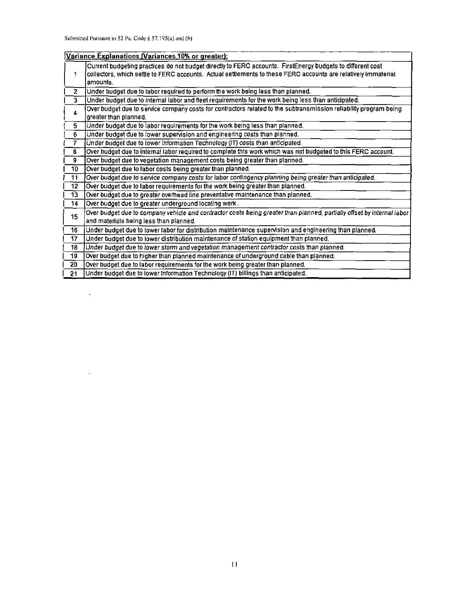$\sim 400$ 

 $\sim 10^{11}$ 

|                | Variance Explanations (Variances 10% or greater):                                                                                                                                                                                        |
|----------------|------------------------------------------------------------------------------------------------------------------------------------------------------------------------------------------------------------------------------------------|
| 1              | Current budgeting practices do not budget directly to FERC accounts. FirstEnergy budgets to different cost<br>collectors, which settle to FERC accounts. Actual settlements to these FERC accounts are relatively immaterial<br>amounts. |
| $\overline{2}$ | Under budget due to labor required to perform the work being less than planned.                                                                                                                                                          |
| $\overline{3}$ | Under budget due to internal labor and fleet requirements for the work being less than anticipated.                                                                                                                                      |
| 4              | Over budget due to service company costs for contractors related to the subtransmission reliability program being<br>greater than planned.                                                                                               |
| 5.             | Under budget due to labor requirements for the work being less than planned.                                                                                                                                                             |
| 6              | Under budget due to lower supervision and engineering costs than planned.                                                                                                                                                                |
| 7              | Under budget due to lower information Technology (IT) costs than anticipated.                                                                                                                                                            |
| 8              | Over budget due to internal labor required to complete this work which was not budgeted to this FERC account.                                                                                                                            |
| $\overline{9}$ | Over budget due to vegetation management costs being greater than planned.                                                                                                                                                               |
| 10             | Over budget due to labor costs being greater than planned.                                                                                                                                                                               |
| $-11$          | Over budget due to service company costs for labor contingency planning being greater than anticipated.                                                                                                                                  |
| 12             | Over budget due to labor requirements for the work being greater than planned.                                                                                                                                                           |
| 13             | Over budget due to greater overhead line preventative maintenance than planned.                                                                                                                                                          |
| 14             | Over budget due to greater underground locating work.                                                                                                                                                                                    |
| 15             | Over budget due to company vehicle and contractor costs being greater than planned, partially offset by internal labor<br>and materials being less than planned.                                                                         |
| 16             | Under budget due to lower labor for distribution maintenance supervision and engineering than planned.                                                                                                                                   |
| 17             | Under budget due to lower distribution maintenance of station equipment than planned.                                                                                                                                                    |
| 18             | Under budget due to lower storm and vegetation management contractor costs than planned.                                                                                                                                                 |
| 19             | Over budget due to higher than planned maintenance of underground cable than planned.                                                                                                                                                    |
| 20             | Over budget due to labor requirements for the work being greater than planned.                                                                                                                                                           |
| -21            | Under budget due to lower Information Technology (IT) billings than anticipated.                                                                                                                                                         |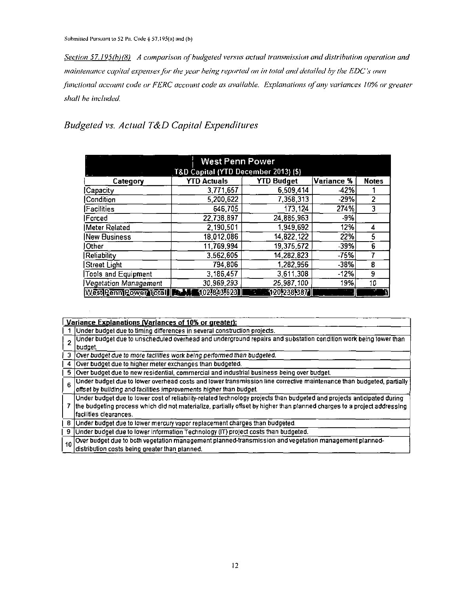$\sim$ 

Section 57.195(b)(8) A comparison of budgeted versus actual transmission and distribution operation and maintenance capital expenses for the year heing reported on in total and detailed by the EDC's own functional account code or FERC account code as available. Explanations of any variances 10% or greater shall be included.

## Budgeted vs. Actual T&D Capital Expenditures

| <b>West Penn Power</b>                   |                    |                   |            |              |  |
|------------------------------------------|--------------------|-------------------|------------|--------------|--|
| T&D Capital (YTD December 2013) (\$)     |                    |                   |            |              |  |
| Category                                 | <b>YTD Actuals</b> | <b>YTD Budget</b> | Variance % | <b>Notes</b> |  |
| Capacity                                 | 3,771,657          | 6,509,414         | -42%       |              |  |
| Condition                                | 5,200,622          | 7,358,313         | $-29%$     | 2            |  |
| Facilities                               | 646,705            | 173.124           | 274%       | 3            |  |
| <b>Forced</b>                            | 22,738,897         | 24,885,963        | $-9%$      |              |  |
| Meter Related                            | 2,190,501          | 1,949,692         | 12%        | 4            |  |
| New Business                             | 18,012,086         | 14 822 122        | 22%        | 5            |  |
| JOther                                   | 11,769,994         | 19,375,572        | $-39%$     | 6            |  |
| Reliability                              | 3,562,605          | 14,282,823        | -75%       |              |  |
| Street Light                             | 794,806            | 1,282,956         | $-38%$     | 8            |  |
| Tools and Equipment                      | 3,186,457          | 3.611.308         | $-12%$     | 9            |  |
| Vegetation Management                    | 30,969,293         | 25,987,100        | 19%        | 10           |  |
| Westleenn Power Total De Man 10278437623 |                    | [120]238]387      |            |              |  |

|    | Variance Explanations (Variances of 10% or greater):                                                                     |
|----|--------------------------------------------------------------------------------------------------------------------------|
|    | Under budget due to timing differences in several construction projects.                                                 |
|    | Under budget due to unscheduled overhead and underground repairs and substation condition work being lower than          |
|    | budget.                                                                                                                  |
| -3 | Over budget due to more facilities work being performed than budgeted.                                                   |
| -4 | Over budget due to higher meter exchanges than budgeted.                                                                 |
|    | 5   Over budget due to new residential, commercial and industrial business being over budget.                            |
| 6  | Under budget due to lower overhead costs and lower transmission line corrective maintenance than budgeted, partially     |
|    | offset by building and facilities improvements higher than budget.                                                       |
|    | Under budget due to lower cost of reliability-related technology projects than budgeted and projects anticipated during  |
|    | the budgeting process which did not materialize, partially offset by higher than planned charges to a project addressing |
|    | facilities clearances.                                                                                                   |
| -8 | Under budget due to lower mercury vapor replacement charges than budgeted.                                               |
| 9  | Under budget due to lower Information Technology (IT) project costs than budgeted.                                       |
|    | 10 Over budget due to both vegetation management planned-transmission and vegetation management planned-                 |
|    | distribution costs being greater than planned.                                                                           |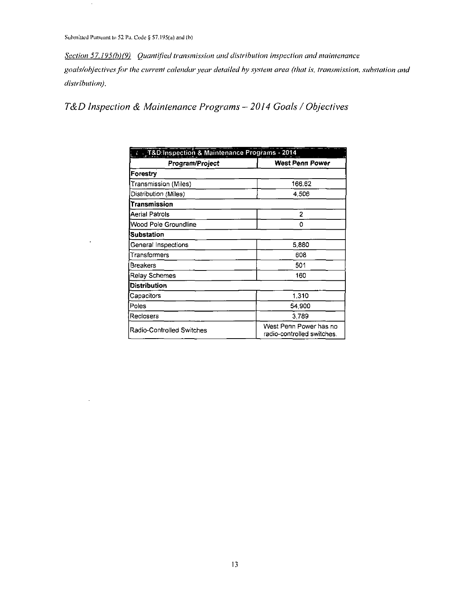Submitted Pursuant to 52 Pa. Code § 57.195(a) and (b)

Section 57.195(b)(9) Quantified transmission and distribution inspection and maintenance goals/objectives for the current calendar year detailed by system area (that is, transmission, substation and distribution).

T&D Inspection & Maintenance Programs - 2014 Goals / Objectives

| <b>T&amp;D Inspection &amp; Maintenance Programs - 2014</b> |                                                      |  |  |  |
|-------------------------------------------------------------|------------------------------------------------------|--|--|--|
| Program/Project                                             | <b>West Penn Power</b>                               |  |  |  |
| Forestry                                                    |                                                      |  |  |  |
| Transmission (Miles)                                        | 166.62                                               |  |  |  |
| Distribution (Miles)                                        | 4,506                                                |  |  |  |
| Transmission                                                |                                                      |  |  |  |
| Aerial Patrols                                              | 2                                                    |  |  |  |
| Wood Pole Groundline                                        | O                                                    |  |  |  |
| Substation                                                  |                                                      |  |  |  |
| General Inspections                                         | 5,880                                                |  |  |  |
| Transformers                                                | 608                                                  |  |  |  |
| Breakers                                                    | 501                                                  |  |  |  |
| Relay Schemes<br>160                                        |                                                      |  |  |  |
| <b>Distribution</b>                                         |                                                      |  |  |  |
| Capacitors                                                  | 1,310                                                |  |  |  |
| Poles                                                       | 54,900                                               |  |  |  |
| Reclosers                                                   | 3.789                                                |  |  |  |
| Radio-Controlled Switches                                   | West Penn Power has no<br>radio-controlled switches. |  |  |  |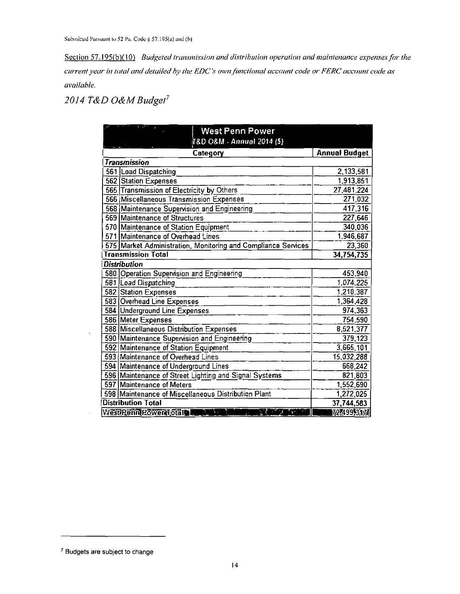Section 57.195(b)(10) Budgeted transmission and distribution operation and maintenance expenses for the current year in total and detailed by the EDC's own functional account code or FERC account code as available.

*2014 T&D O&M Budget<sup>7</sup>*

| $\mathcal{R}^{\mathcal{A}}$ , and $\mathcal{R}^{\mathcal{A}}$<br>West Penn Power       |                      |
|----------------------------------------------------------------------------------------|----------------------|
| T&D O&M - Annual 2014 (\$)                                                             |                      |
| Category                                                                               | <b>Annual Budget</b> |
| <b>Transmission</b>                                                                    |                      |
| 561 Load Dispatching                                                                   | 2,133,581            |
| 562 Station Expenses                                                                   | 1,913,851            |
| 565 Transmission of Electricity by Others                                              | 27,481,224           |
| 566 Miscellaneous Transmission Expenses                                                | 271,032              |
| 568 Maintenance Supervision and Engineering                                            | 417,316              |
| 569 Maintenance of Structures                                                          | 227,646              |
| 570 Maintenance of Station Equipment                                                   | 340,036              |
| 571 Maintenance of Overhead Lines                                                      | 1.946,687            |
| 575 Market Administration, Monitoring and Compliance Services                          | 23,360               |
| <b>Transmission Total</b>                                                              | 34,754,735           |
| <b>Distribution</b>                                                                    |                      |
| 580 Operation Supervision and Engineering                                              | 453,940              |
| 581 Load Dispatching                                                                   | 1,074,225            |
| 582 Station Expenses                                                                   | 1,210,387            |
| 583 Overhead Line Expenses                                                             | 1,364,428            |
| 584 Underground Line Expenses                                                          | 974,363              |
| 586 Meter Expenses                                                                     | 754,590              |
| 588 Miscellaneous Distribution Expenses                                                | 8,521,377            |
| 590 Maintenance Supervision and Engineering                                            | 379,123              |
| 592 Maintenance of Station Equipment                                                   | 3,665,101            |
| 593 Maintenance of Overhead Lines                                                      | 15,032,288           |
| 594 Maintenance of Underground Lines                                                   | 668,242              |
| 596 Maintenance of Street Lighting and Signal Systems                                  | 821,803              |
| 597 Maintenance of Meters                                                              | 1,552,690            |
| 598 Maintenance of Miscellaneous Distribution Plant                                    | 1,272,025            |
| <b>Distribution Total</b>                                                              | 37,744,583           |
| WestPennPowerTotal<br><b>REAL PROPERTY</b><br>$\mathbf{q} \in \mathbb{R}^{n \times n}$ | 7249953174           |

<sup>7</sup> Budgets are subject to change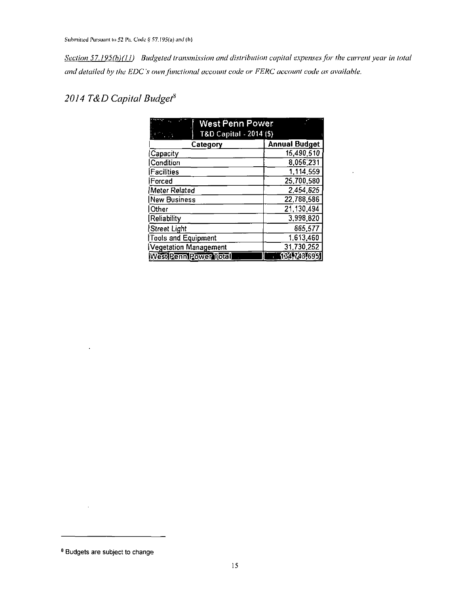*Section 57.195(h)(l 1) Budgeted transmission and distribution capiial expenses for the current year in total and detailed by the EDC's own functional account code or FERC account code as available.* 

## *2014 T&D Capital Budget<sup>8</sup>*

| <b>West Penn Power</b>     |                      |  |
|----------------------------|----------------------|--|
| T&D Capital - 2014 (\$)    |                      |  |
| Category                   | <b>Annual Budget</b> |  |
| Capacity                   | 15,490,510           |  |
| Condition                  | 8,056,231            |  |
| <b>Facilities</b>          | 1,114,559            |  |
| Forced                     | 25,700,580           |  |
| Meter Related              | 2,454,625            |  |
| New Business               | 22,788,586           |  |
| Other                      | 21,130,494           |  |
| Reliability                | 3,998,820            |  |
| Street Light               | 665,577              |  |
| <b>Tools and Equipment</b> | 1,613,460            |  |
| Vegetation Management      | 31,730,252           |  |
| WestlPenniPower Total      | 134,743,695          |  |

 $\hat{\mathbf{r}}$ 

<sup>&</sup>lt;sup>8</sup> Budgets are subject to change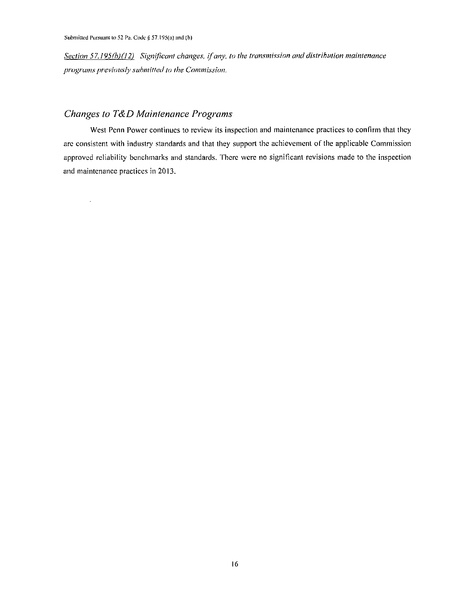$\hat{\mathcal{L}}$ 

*Section 57.195(b)(12)* Significant changes, if any, to the transmission and distribution maintenance *programs previously submitted to the Commission.* 

#### *Changes to T&D Maintenance Programs*

West Penn Power continues to review its inspection and maintenance practices to confirm that they are consistent with industry standards and that they support the achievement of the applicable Commission approved reliability benchmarks and standards. There were no significant revisions made to the inspection and maintenance practices in 2013.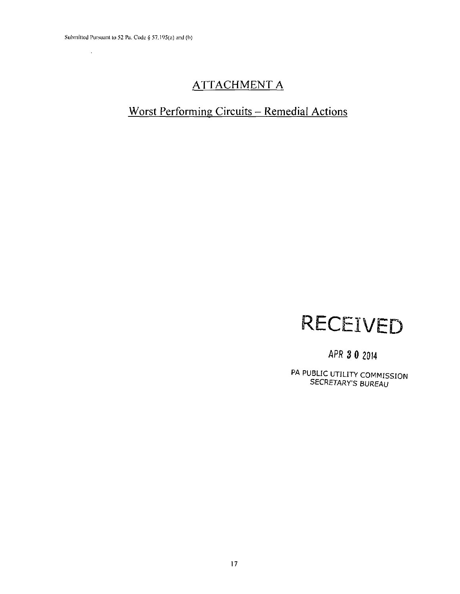$\mathcal{A}$ 

## **ATTACHMENT A**

## **Worst Performing Circuits - Remedial Actions**

# **RECEIVED**

## APR 3 0 2014

PA PUBLIC UTILITY COMMISSION SECRETARY'S BUREAU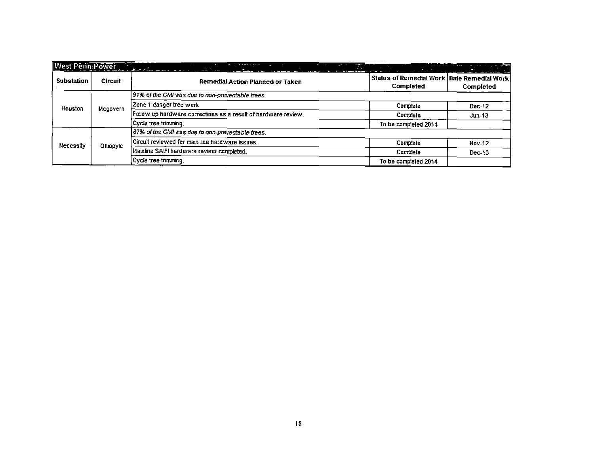|                   | West Penn Power |                                                                | <b>Service State</b>             | <u>na matang panahan ka</u> |                                                             |               |
|-------------------|-----------------|----------------------------------------------------------------|----------------------------------|-----------------------------|-------------------------------------------------------------|---------------|
| <b>Substation</b> | <b>Circuit</b>  |                                                                | Remedial Action Planned or Taken |                             | Status of Remedial Work   Date Remedial Work  <br>Completed | Completed     |
| Houston           | Mcgovern        | 91% of the CMI was due to non-preventable trees.               |                                  |                             |                                                             |               |
|                   |                 | Zone 1 danger tree work                                        |                                  |                             | Complete                                                    | Dec-12        |
|                   |                 | Follow up hardware corrections as a result of hardware review. |                                  |                             | Complete                                                    | $Jun-13$      |
|                   |                 | Cycle tree trimming.                                           |                                  |                             | To be completed 2014                                        |               |
| Necessity         | Ohiopyle        | 87% of the CMI was due to non-preventable trees.               |                                  |                             |                                                             |               |
|                   |                 | Circuit reviewed for main line hardware issues.                |                                  |                             | Complete                                                    | <b>Nov-12</b> |
|                   |                 | Mainline SAIFI hardware review completed.                      |                                  |                             | Complete                                                    | Dec-13        |
|                   |                 | Cycle tree trimming.                                           |                                  |                             | To be completed 2014                                        |               |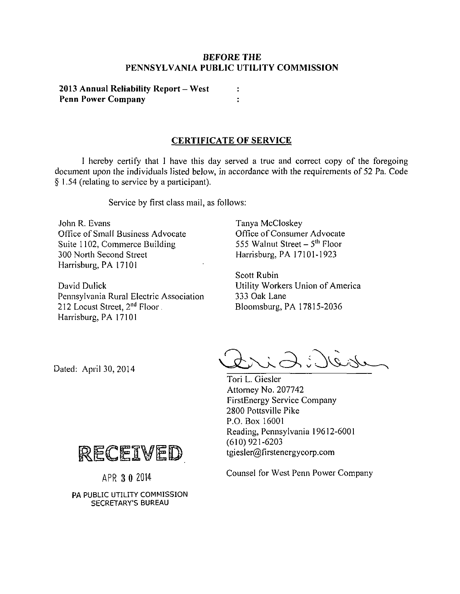#### **BEFORE THE PENNSYLVANIA PUBLIC UTILITY COMMISSION**

**2013 Annual Reliability Report - West**   $\ddot{\cdot}$ **Penn Power Company**   $\ddot{\cdot}$ 

#### **CERTIFICATE OF SERVICE**

I hereby certify that I have this day served a true and correct copy of the foregoing document upon the individuals listed below, in accordance with the requirements of 52 Pa. Code § 1.54 (relating to service by a participant).

Service by first class mail, as follows:

John R. Evans Office of Small Business Advocate Suite 1102, Commerce Building 300 North Second Street Harrisburg, PA 17101

David Dulick Pennsylvania Rural Electric Association 212 Locust Street, 2<sup>nd</sup> Floor. Harrisburg, PA 17101

Tanya McCloskey Office of Consumer Advocate 555 Walnut Street – 5<sup>th</sup> Floor Harrisburg, PA 17101-1923

Scott Rubin Utility Workers Union of America 333 Oak Lane Bloomsburg, PA 17815-2036

Dated: April 30, 2014

2: Diese

Tori L. Giesler Attorney No. 207742 FirstEnergy Service Company 2800 Pottsville Pike P.O. Box 16001 Reading, Pennsylvania 19612-6001 (610) 921-6203 tgiesler@firstenergycorp.com



APR 3 0 ZOH

PA PUBLIC UTILITY COMMISSION SECRETARY'S BUREAU

Counsel for West Penn Power Company